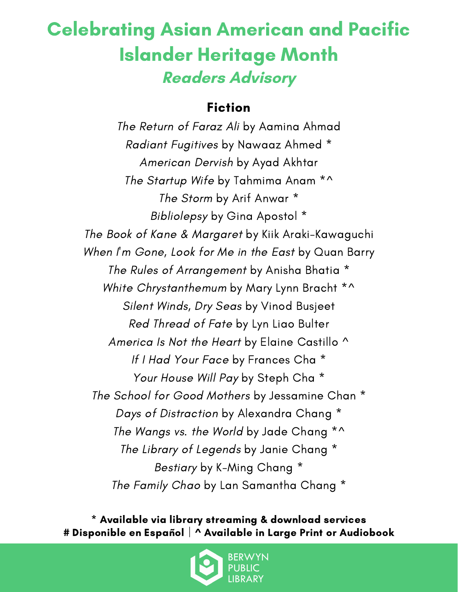## Celebrating Asian American and Pacific Islander Heritage Month **Readers Advisory**

#### Fiction

The Return of Faraz Ali by Aamina Ahmad Radiant Fugitives by Nawaaz Ahmed \* American Dervish by Ayad Akhtar The Startup Wife by Tahmima Anam \*^ The Storm by Arif Anwar \* Bibliolepsy by Gina Apostol \* The Book of Kane & Margaret by Kiik Araki-Kawaguchi When I'm Gone, Look for Me in the East by Quan Barry The Rules of Arrangement by Anisha Bhatia \* White Chrystanthemum by Mary Lynn Bracht \*^ Silent Winds, Dry Seas by Vinod Busjeet Red Thread of Fate by Lyn Liao Bulter America Is Not the Heart by Elaine Castillo ^ If I Had Your Face by Frances Cha \* Your House Will Pay by Steph Cha \* The School for Good Mothers by Jessamine Chan \* Days of Distraction by Alexandra Chang \* The Wangs vs. the World by Jade Chang \*^ The Library of Legends by Janie Chang \* Bestiary by K-Ming Chang \* The Family Chao by Lan Samantha Chang \*

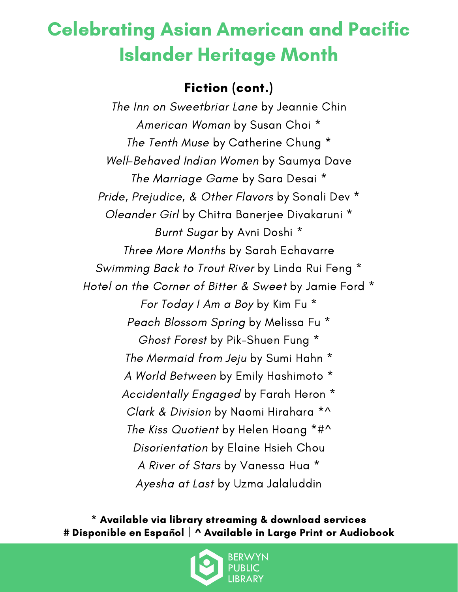### Fiction (cont.)

The Inn on Sweetbriar Lane by Jeannie Chin American Woman by Susan Choi \* The Tenth Muse by Catherine Chung \* Well-Behaved Indian Women by Saumya Dave The Marriage Game by Sara Desai \* Pride, Prejudice, & Other Flavors by Sonali Dev \* Oleander Girl by Chitra Banerjee Divakaruni \* Burnt Sugar by Avni Doshi \* Three More Months by Sarah Echavarre Swimming Back to Trout River by Linda Rui Feng \* Hotel on the Corner of Bitter & Sweet by Jamie Ford \* For Today I Am a Boy by Kim Fu \* Peach Blossom Spring by Melissa Fu \* Ghost Forest by Pik-Shuen Fung \* The Mermaid from Jeju by Sumi Hahn \* A World Between by Emily Hashimoto \* Accidentally Engaged by Farah Heron \* Clark & Division by Naomi Hirahara \*^ The Kiss Quotient by Helen Hoang \*#^ Disorientation by Elaine Hsieh Chou A River of Stars by Vanessa Hua \* Ayesha at Last by Uzma Jalaluddin

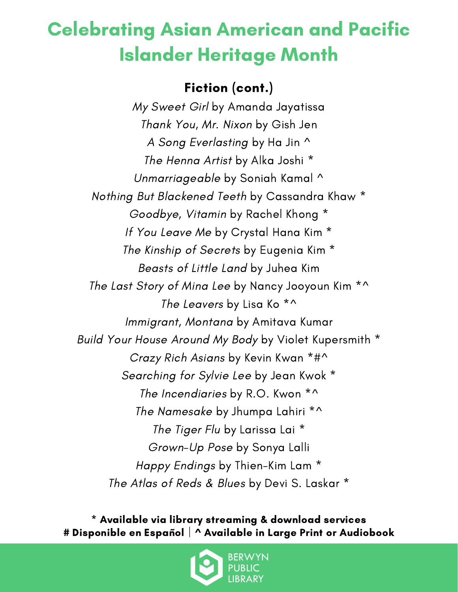#### Fiction (cont.)

My Sweet Girl by Amanda Jayatissa Thank You, Mr. Nixon by Gish Jen A Song Everlasting by Ha Jin ^ The Henna Artist by Alka Joshi \* Unmarriageable by Soniah Kamal ^ Nothing But Blackened Teeth by Cassandra Khaw \* Goodbye, Vitamin by Rachel Khong \* If You Leave Me by Crystal Hana Kim \* The Kinship of Secrets by Eugenia Kim \* Beasts of Little Land by Juhea Kim The Last Story of Mina Lee by Nancy Jooyoun Kim \*^ The Leavers by Lisa Ko<sup>\*^</sup> Immigrant, Montana by Amitava Kumar Build Your House Around My Body by Violet Kupersmith \* Crazy Rich Asians by Kevin Kwan \*#^ Searching for Sylvie Lee by Jean Kwok \* The Incendiaries by R.O. Kwon \*^ The Namesake by Jhumpa Lahiri \*^ The Tiger Flu by Larissa Lai<sup>\*</sup> Grown-Up Pose by Sonya Lalli Happy Endings by Thien-Kim Lam \* The Atlas of Reds & Blues by Devi S. Laskar \*

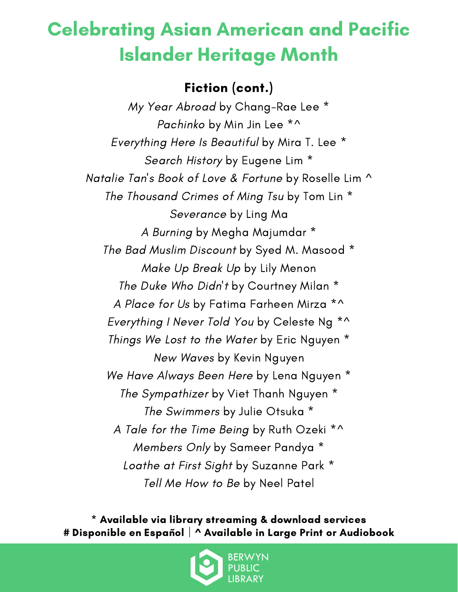### Fiction (cont.)

My Year Abroad by Chang-Rae Lee \* Pachinko by Min Jin Lee \*^ Everything Here Is Beautiful by Mira T. Lee \* Search History by Eugene Lim<sup>\*</sup> Natalie Tan's Book of Love & Fortune by Roselle Lim ^ The Thousand Crimes of Ming Tsu by Tom Lin \* Severance by Ling Ma A Burning by Megha Majumdar \* The Bad Muslim Discount by Syed M. Masood \* Make Up Break Up by Lily Menon The Duke Who Didn't by Courtney Milan \* A Place for Us by Fatima Farheen Mirza \*^ Everything I Never Told You by Celeste Ng \*^ Things We Lost to the Water by Eric Nguyen \* New Waves by Kevin Nguyen We Have Always Been Here by Lena Nguyen \* The Sympathizer by Viet Thanh Nguyen \* The Swimmers by Julie Otsuka \* A Tale for the Time Being by Ruth Ozeki \*^ Members Only by Sameer Pandya \* Loathe at First Sight by Suzanne Park \* Tell Me How to Be by Neel Patel

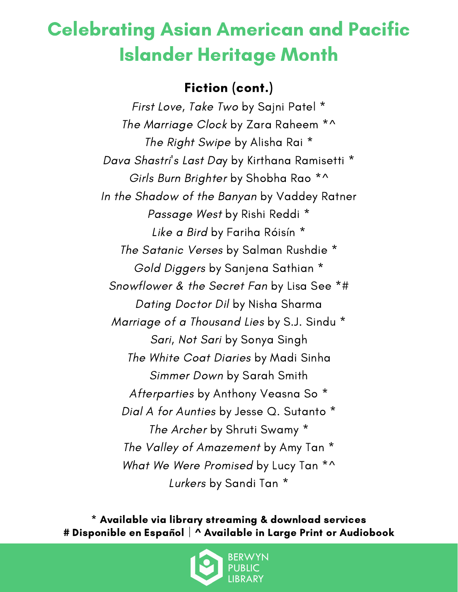#### Fiction (cont.)

First Love, Take Two by Sajni Patel \* The Marriage Clock by Zara Raheem \*^ The Right Swipe by Alisha Rai \* Dava Shastri's Last Day by Kirthana Ramisetti \* Girls Burn Brighter by Shobha Rao<sup>\*^</sup> In the Shadow of the Banyan by Vaddey Ratner Passage West by Rishi Reddi \* Like a Bird by Fariha Róisín \* The Satanic Verses by Salman Rushdie \* Gold Diggers by Sanjena Sathian \* Snowflower & the Secret Fan by Lisa See \*# Dating Doctor Dil by Nisha Sharma Marriage of a Thousand Lies by S.J. Sindu \* Sari, Not Sari by Sonya Singh The White Coat Diaries by Madi Sinha Simmer Down by Sarah Smith Afterparties by Anthony Veasna So \* Dial A for Aunties by Jesse Q. Sutanto \* The Archer by Shruti Swamy \* The Valley of Amazement by Amy Tan \* What We Were Promised by Lucy Tan \*^ Lurkers by Sandi Tan \*

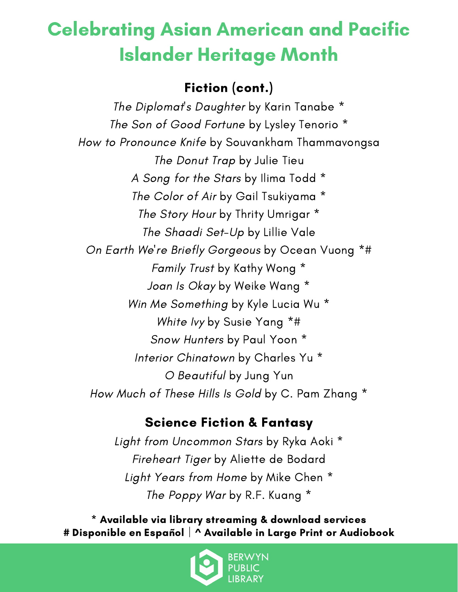### Fiction (cont.)

The Diplomat's Daughter by Karin Tanabe \* The Son of Good Fortune by Lysley Tenorio \* How to Pronounce Knife by Souvankham Thammavongsa The Donut Trap by Julie Tieu A Song for the Stars by Ilima Todd \* The Color of Air by Gail Tsukiyama \* The Story Hour by Thrity Umrigar \* The Shaadi Set-Up by Lillie Vale On Earth We're Briefly Gorgeous by Ocean Vuong \*# Family Trust by Kathy Wong \* Joan Is Okay by Weike Wang \* Win Me Something by Kyle Lucia Wu \* White Ivy by Susie Yang \*# Snow Hunters by Paul Yoon \* Interior Chinatown by Charles Yu \* O Beautiful by Jung Yun How Much of These Hills Is Gold by C. Pam Zhang \*

#### Science Fiction & Fantasy

Light from Uncommon Stars by Ryka Aoki \* Fireheart Tiger by Aliette de Bodard Light Years from Home by Mike Chen \* The Poppy War by R.F. Kuang \*

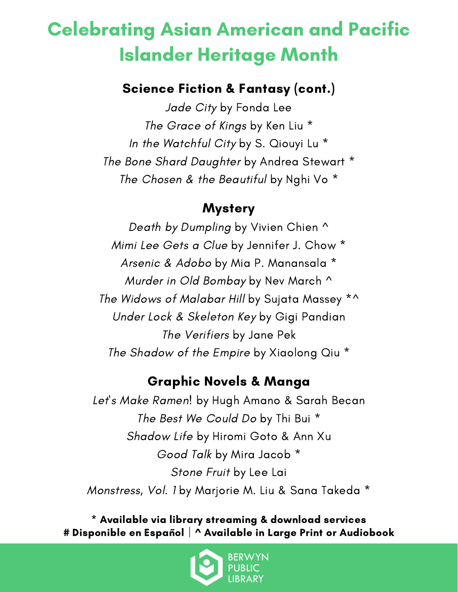#### Science Fiction & Fantasy (cont.)

Jade City by Fonda Lee The Grace of Kings by Ken Liu \* In the Watchful City by S. Qiouyi Lu \* The Bone Shard Daughter by Andrea Stewart \* The Chosen & the Beautiful by Nghi Vo<sup>\*</sup>

#### **Mystery**

Death by Dumpling by Vivien Chien ^ Mimi Lee Gets a Clue by Jennifer J. Chow \* Arsenic & Adobo by Mia P. Manansala \* Murder in Old Bombay by Nev March ^ The Widows of Malabar Hill by Sujata Massey \*^ Under Lock & Skeleton Key by Gigi Pandian The Verifiers by Jane Pek The Shadow of the Empire by Xiaolong Qiu \*

#### Graphic Novels & Manga

Let's Make Ramen! by Hugh Amano & Sarah Becan The Best We Could Do by Thi Bui \* Shadow Life by Hiromi Goto & Ann Xu Good Talk by Mira Jacob \* Stone Fruit by Lee Lai Monstress, Vol. 1 by Marjorie M. Liu & Sana Takeda \*